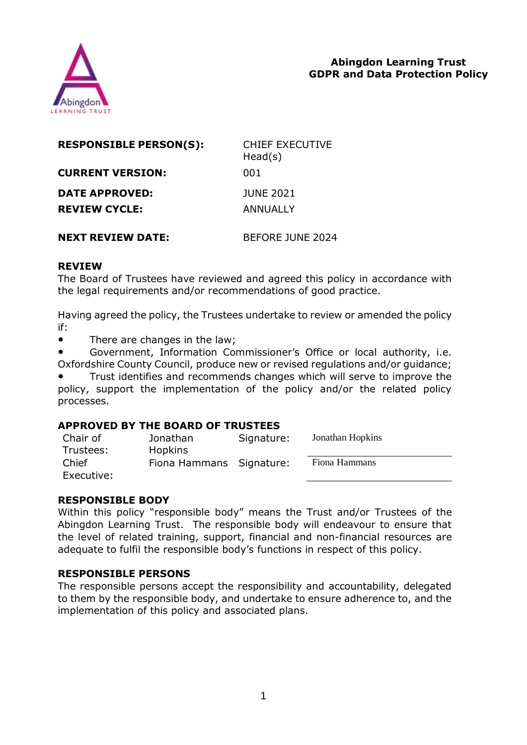

| <b>RESPONSIBLE PERSON(S):</b> | <b>CHIEF EXECUTIVE</b><br>Head(s) |
|-------------------------------|-----------------------------------|
| <b>CURRENT VERSION:</b>       | 001                               |
| DATE APPROVED:                | <b>JUNE 2021</b>                  |
| <b>REVIEW CYCLE:</b>          | ANNUALLY                          |
| <b>NEXT REVIEW DATE:</b>      | BEFORE JUNE 2024                  |

#### **REVIEW**

The Board of Trustees have reviewed and agreed this policy in accordance with the legal requirements and/or recommendations of good practice.

Having agreed the policy, the Trustees undertake to review or amended the policy if:

● There are changes in the law;

Government, Information Commissioner's Office or local authority, i.e. Oxfordshire County Council, produce new or revised regulations and/or guidance;

Trust identifies and recommends changes which will serve to improve the policy, support the implementation of the policy and/or the related policy processes.

### **APPROVED BY THE BOARD OF TRUSTEES**

| Chair of   | Jonathan                 | Signature: | Jonathan Hopkins |
|------------|--------------------------|------------|------------------|
| Trustees:  | <b>Hopkins</b>           |            |                  |
| Chief      | Fiona Hammans Signature: |            | Fiona Hammans    |
| Executive: |                          |            |                  |

### **RESPONSIBLE BODY**

Within this policy "responsible body" means the Trust and/or Trustees of the Abingdon Learning Trust. The responsible body will endeavour to ensure that the level of related training, support, financial and non-financial resources are adequate to fulfil the responsible body's functions in respect of this policy.

### **RESPONSIBLE PERSONS**

The responsible persons accept the responsibility and accountability, delegated to them by the responsible body, and undertake to ensure adherence to, and the implementation of this policy and associated plans.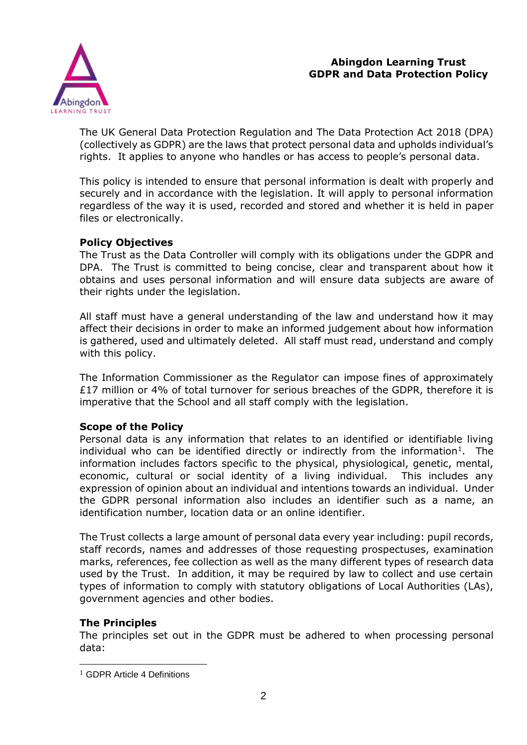

The UK General Data Protection Regulation and The Data Protection Act 2018 (DPA) (collectively as GDPR) are the laws that protect personal data and upholds individual's rights. It applies to anyone who handles or has access to people's personal data.

This policy is intended to ensure that personal information is dealt with properly and securely and in accordance with the legislation. It will apply to personal information regardless of the way it is used, recorded and stored and whether it is held in paper files or electronically.

### **Policy Objectives**

The Trust as the Data Controller will comply with its obligations under the GDPR and DPA. The Trust is committed to being concise, clear and transparent about how it obtains and uses personal information and will ensure data subjects are aware of their rights under the legislation.

All staff must have a general understanding of the law and understand how it may affect their decisions in order to make an informed judgement about how information is gathered, used and ultimately deleted. All staff must read, understand and comply with this policy.

The Information Commissioner as the Regulator can impose fines of approximately £17 million or 4% of total turnover for serious breaches of the GDPR, therefore it is imperative that the School and all staff comply with the legislation.

### **Scope of the Policy**

Personal data is any information that relates to an identified or identifiable living individual who can be identified directly or indirectly from the information<sup>1</sup>. The information includes factors specific to the physical, physiological, genetic, mental, economic, cultural or social identity of a living individual. This includes any expression of opinion about an individual and intentions towards an individual. Under the GDPR personal information also includes an identifier such as a name, an identification number, location data or an online identifier.

The Trust collects a large amount of personal data every year including: pupil records, staff records, names and addresses of those requesting prospectuses, examination marks, references, fee collection as well as the many different types of research data used by the Trust. In addition, it may be required by law to collect and use certain types of information to comply with statutory obligations of Local Authorities (LAs), government agencies and other bodies.

### **The Principles**

1

The principles set out in the GDPR must be adhered to when processing personal data:

<sup>1</sup> GDPR Article 4 Definitions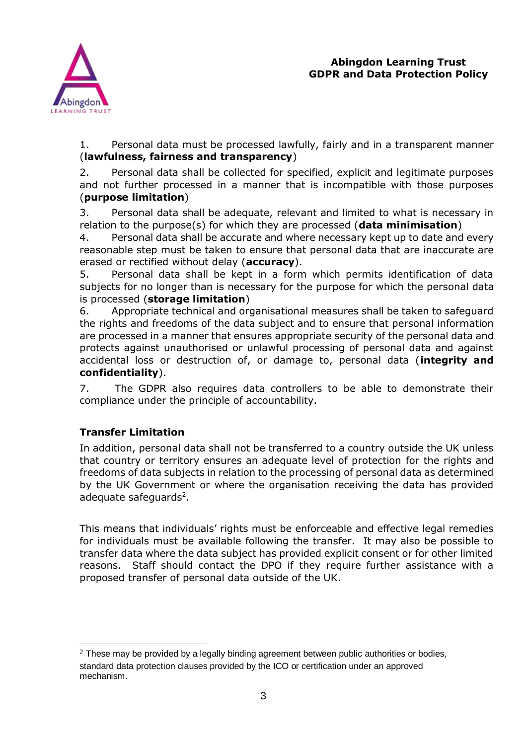

1. Personal data must be processed lawfully, fairly and in a transparent manner (**lawfulness, fairness and transparency**)

2. Personal data shall be collected for specified, explicit and legitimate purposes and not further processed in a manner that is incompatible with those purposes (**purpose limitation**)

3. Personal data shall be adequate, relevant and limited to what is necessary in relation to the purpose(s) for which they are processed (**data minimisation**)

4. Personal data shall be accurate and where necessary kept up to date and every reasonable step must be taken to ensure that personal data that are inaccurate are erased or rectified without delay (**accuracy**).

5. Personal data shall be kept in a form which permits identification of data subjects for no longer than is necessary for the purpose for which the personal data is processed (**storage limitation**)

6. Appropriate technical and organisational measures shall be taken to safeguard the rights and freedoms of the data subject and to ensure that personal information are processed in a manner that ensures appropriate security of the personal data and protects against unauthorised or unlawful processing of personal data and against accidental loss or destruction of, or damage to, personal data (**integrity and confidentiality**).

7. The GDPR also requires data controllers to be able to demonstrate their compliance under the principle of accountability.

# **Transfer Limitation**

In addition, personal data shall not be transferred to a country outside the UK unless that country or territory ensures an adequate level of protection for the rights and freedoms of data subjects in relation to the processing of personal data as determined by the UK Government or where the organisation receiving the data has provided adequate safeguards<sup>2</sup>.

This means that individuals' rights must be enforceable and effective legal remedies for individuals must be available following the transfer. It may also be possible to transfer data where the data subject has provided explicit consent or for other limited reasons. Staff should contact the DPO if they require further assistance with a proposed transfer of personal data outside of the UK.

<sup>1</sup>  $2$  These may be provided by a legally binding agreement between public authorities or bodies, standard data protection clauses provided by the ICO or certification under an approved mechanism.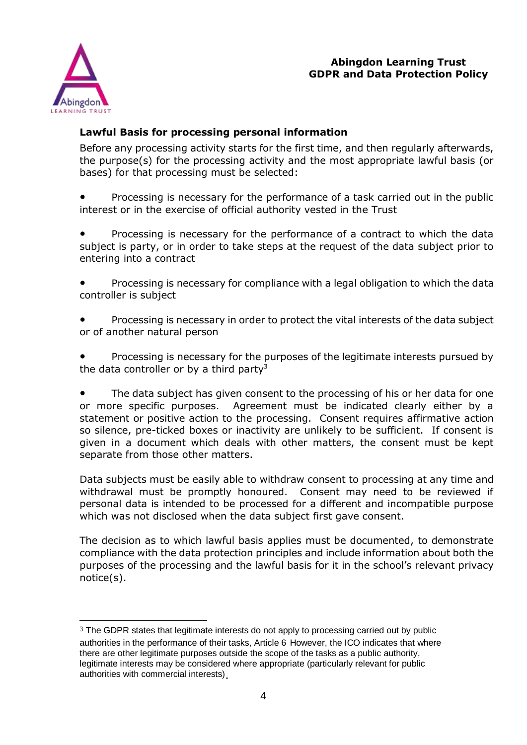



### **Lawful Basis for processing personal information**

Before any processing activity starts for the first time, and then regularly afterwards, the purpose(s) for the processing activity and the most appropriate lawful basis (or bases) for that processing must be selected:

Processing is necessary for the performance of a task carried out in the public interest or in the exercise of official authority vested in the Trust

Processing is necessary for the performance of a contract to which the data subject is party, or in order to take steps at the request of the data subject prior to entering into a contract

Processing is necessary for compliance with a legal obligation to which the data controller is subject

Processing is necessary in order to protect the vital interests of the data subject or of another natural person

Processing is necessary for the purposes of the legitimate interests pursued by the data controller or by a third party<sup>3</sup>

The data subject has given consent to the processing of his or her data for one or more specific purposes. Agreement must be indicated clearly either by a statement or positive action to the processing. Consent requires affirmative action so silence, pre-ticked boxes or inactivity are unlikely to be sufficient. If consent is given in a document which deals with other matters, the consent must be kept separate from those other matters.

Data subjects must be easily able to withdraw consent to processing at any time and withdrawal must be promptly honoured. Consent may need to be reviewed if personal data is intended to be processed for a different and incompatible purpose which was not disclosed when the data subject first gave consent.

The decision as to which lawful basis applies must be documented, to demonstrate compliance with the data protection principles and include information about both the purposes of the processing and the lawful basis for it in the school's relevant privacy notice(s).

<sup>1</sup>  $3$  The GDPR states that legitimate interests do not apply to processing carried out by public authorities in the performance of their tasks, Article 6 However, the ICO indicates that where there are other legitimate purposes outside the scope of the tasks as a public authority, legitimate interests may be considered where appropriate (particularly relevant for public authorities with commercial interests).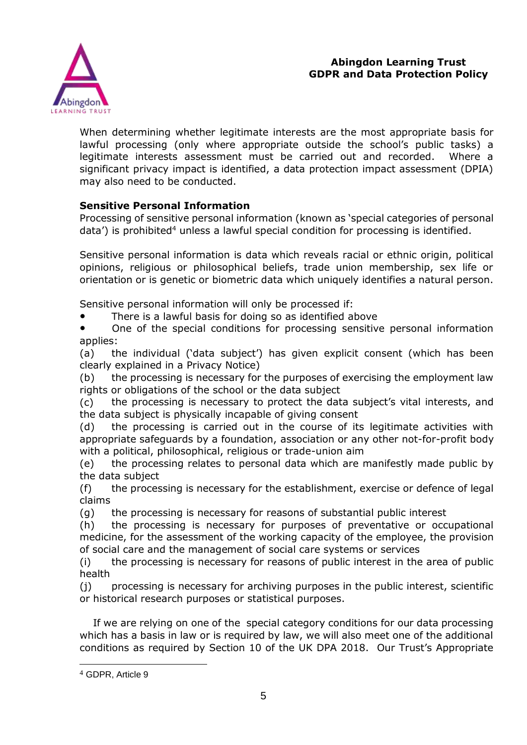

When determining whether legitimate interests are the most appropriate basis for lawful processing (only where appropriate outside the school's public tasks) a legitimate interests assessment must be carried out and recorded. Where a significant privacy impact is identified, a data protection impact assessment (DPIA) may also need to be conducted.

### **Sensitive Personal Information**

Processing of sensitive personal information (known as 'special categories of personal  $data'$ ) is prohibited<sup>4</sup> unless a lawful special condition for processing is identified.

Sensitive personal information is data which reveals racial or ethnic origin, political opinions, religious or philosophical beliefs, trade union membership, sex life or orientation or is genetic or biometric data which uniquely identifies a natural person.

Sensitive personal information will only be processed if:

● There is a lawful basis for doing so as identified above

● One of the special conditions for processing sensitive personal information applies:

(a) the individual ('data subject') has given explicit consent (which has been clearly explained in a Privacy Notice)

(b) the processing is necessary for the purposes of exercising the employment law rights or obligations of the school or the data subject

(c) the processing is necessary to protect the data subject's vital interests, and the data subject is physically incapable of giving consent

(d) the processing is carried out in the course of its legitimate activities with appropriate safeguards by a foundation, association or any other not-for-profit body with a political, philosophical, religious or trade-union aim

(e) the processing relates to personal data which are manifestly made public by the data subject

(f) the processing is necessary for the establishment, exercise or defence of legal claims

(g) the processing is necessary for reasons of substantial public interest

(h) the processing is necessary for purposes of preventative or occupational medicine, for the assessment of the working capacity of the employee, the provision of social care and the management of social care systems or services

(i) the processing is necessary for reasons of public interest in the area of public health

(j) processing is necessary for archiving purposes in the public interest, scientific or historical research purposes or statistical purposes.

 If we are relying on one of the special category conditions for our data processing which has a basis in law or is required by law, we will also meet one of the additional conditions as required by Section 10 of the UK DPA 2018. Our Trust's Appropriate

1

<sup>4</sup> GDPR, Article 9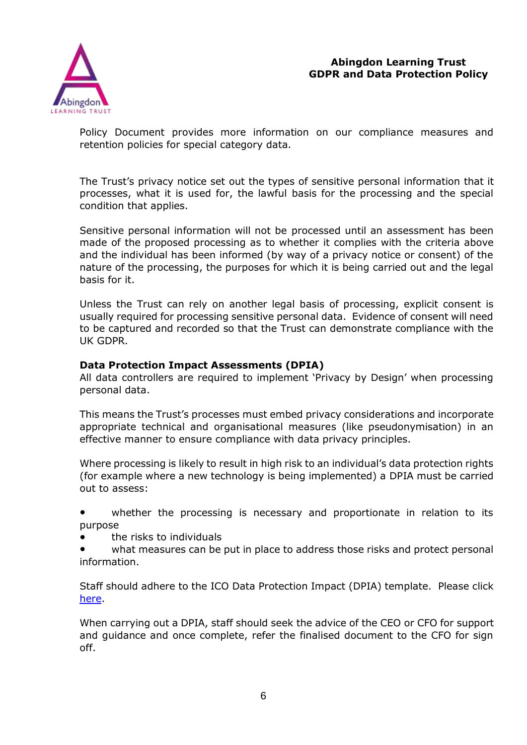



Policy Document provides more information on our compliance measures and retention policies for special category data.

The Trust's privacy notice set out the types of sensitive personal information that it processes, what it is used for, the lawful basis for the processing and the special condition that applies.

Sensitive personal information will not be processed until an assessment has been made of the proposed processing as to whether it complies with the criteria above and the individual has been informed (by way of a privacy notice or consent) of the nature of the processing, the purposes for which it is being carried out and the legal basis for it.

Unless the Trust can rely on another legal basis of processing, explicit consent is usually required for processing sensitive personal data. Evidence of consent will need to be captured and recorded so that the Trust can demonstrate compliance with the UK GDPR.

### **Data Protection Impact Assessments (DPIA)**

All data controllers are required to implement 'Privacy by Design' when processing personal data.

This means the Trust's processes must embed privacy considerations and incorporate appropriate technical and organisational measures (like pseudonymisation) in an effective manner to ensure compliance with data privacy principles.

Where processing is likely to result in high risk to an individual's data protection rights (for example where a new technology is being implemented) a DPIA must be carried out to assess:

whether the processing is necessary and proportionate in relation to its purpose

● the risks to individuals

what measures can be put in place to address those risks and protect personal information.

Staff should adhere to the ICO Data Protection Impact (DPIA) template. Please click [here.](file:///G:/Shared%20drives/GDPR/Data%20Protection%20Impact%20Assessment%20Template%20-%20ICO.docx)

When carrying out a DPIA, staff should seek the advice of the CEO or CFO for support and guidance and once complete, refer the finalised document to the CFO for sign off.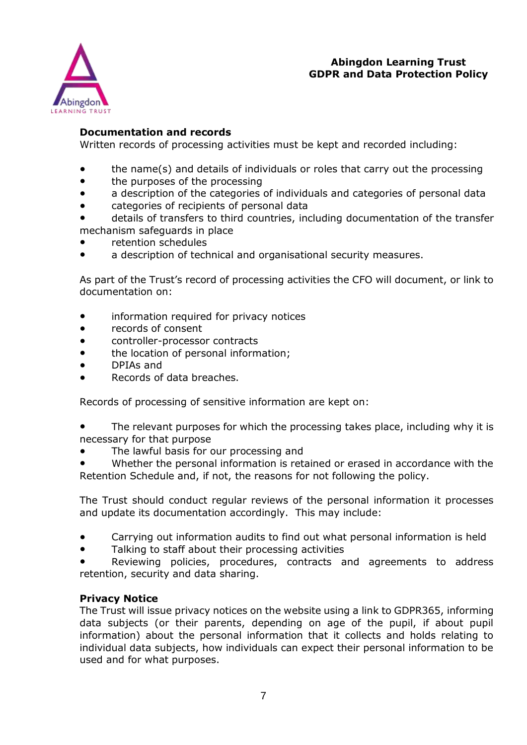

### **Documentation and records**

Written records of processing activities must be kept and recorded including:

- the name(s) and details of individuals or roles that carry out the processing
- the purposes of the processing
- a description of the categories of individuals and categories of personal data
- categories of recipients of personal data
- details of transfers to third countries, including documentation of the transfer mechanism safeguards in place
- retention schedules
- a description of technical and organisational security measures.

As part of the Trust's record of processing activities the CFO will document, or link to documentation on:

- information required for privacy notices
- records of consent
- controller-processor contracts
- the location of personal information;
- DPIAs and
- Records of data breaches.

Records of processing of sensitive information are kept on:

- The relevant purposes for which the processing takes place, including why it is necessary for that purpose
- The lawful basis for our processing and
- Whether the personal information is retained or erased in accordance with the Retention Schedule and, if not, the reasons for not following the policy.

The Trust should conduct regular reviews of the personal information it processes and update its documentation accordingly. This may include:

- Carrying out information audits to find out what personal information is held
- Talking to staff about their processing activities
- Reviewing policies, procedures, contracts and agreements to address retention, security and data sharing.

### **Privacy Notice**

The Trust will issue privacy notices on the website using a link to GDPR365, informing data subjects (or their parents, depending on age of the pupil, if about pupil information) about the personal information that it collects and holds relating to individual data subjects, how individuals can expect their personal information to be used and for what purposes.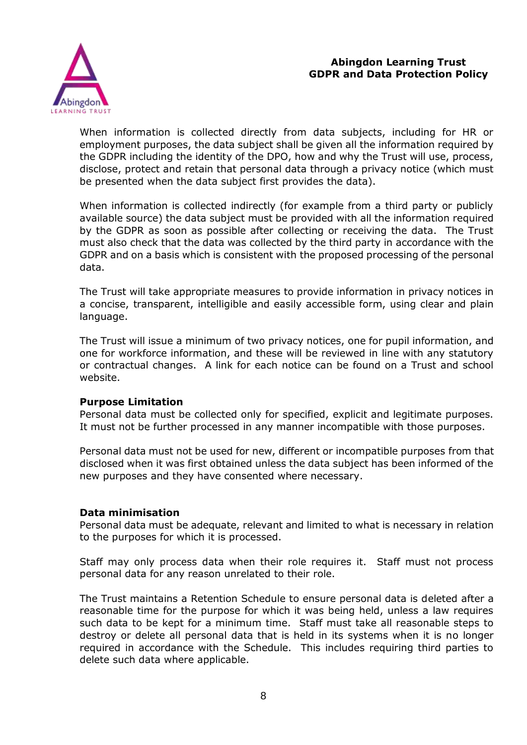

When information is collected directly from data subjects, including for HR or employment purposes, the data subject shall be given all the information required by the GDPR including the identity of the DPO, how and why the Trust will use, process, disclose, protect and retain that personal data through a privacy notice (which must be presented when the data subject first provides the data).

When information is collected indirectly (for example from a third party or publicly available source) the data subject must be provided with all the information required by the GDPR as soon as possible after collecting or receiving the data. The Trust must also check that the data was collected by the third party in accordance with the GDPR and on a basis which is consistent with the proposed processing of the personal data.

The Trust will take appropriate measures to provide information in privacy notices in a concise, transparent, intelligible and easily accessible form, using clear and plain language.

The Trust will issue a minimum of two privacy notices, one for pupil information, and one for workforce information, and these will be reviewed in line with any statutory or contractual changes. A link for each notice can be found on a Trust and school website.

### **Purpose Limitation**

Personal data must be collected only for specified, explicit and legitimate purposes. It must not be further processed in any manner incompatible with those purposes.

Personal data must not be used for new, different or incompatible purposes from that disclosed when it was first obtained unless the data subject has been informed of the new purposes and they have consented where necessary.

### **Data minimisation**

Personal data must be adequate, relevant and limited to what is necessary in relation to the purposes for which it is processed.

Staff may only process data when their role requires it. Staff must not process personal data for any reason unrelated to their role.

The Trust maintains a Retention Schedule to ensure personal data is deleted after a reasonable time for the purpose for which it was being held, unless a law requires such data to be kept for a minimum time. Staff must take all reasonable steps to destroy or delete all personal data that is held in its systems when it is no longer required in accordance with the Schedule. This includes requiring third parties to delete such data where applicable.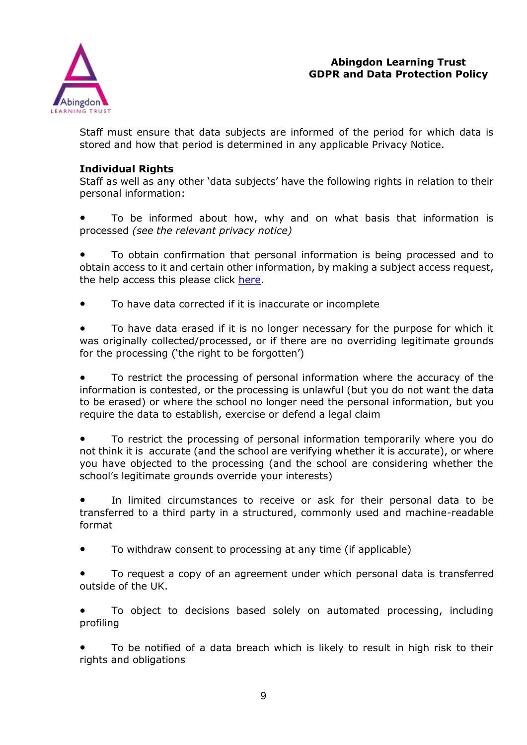

Staff must ensure that data subjects are informed of the period for which data is stored and how that period is determined in any applicable Privacy Notice.

## **Individual Rights**

Staff as well as any other 'data subjects' have the following rights in relation to their personal information:

To be informed about how, why and on what basis that information is processed *(see the relevant privacy notice)*

To obtain confirmation that personal information is being processed and to obtain access to it and certain other information, by making a subject access request, the help access this please click [here.](https://app.priviq.com/saq/46d79f44-8971-4b60-b32a-caf5ba63d386)

● To have data corrected if it is inaccurate or incomplete

To have data erased if it is no longer necessary for the purpose for which it was originally collected/processed, or if there are no overriding legitimate grounds for the processing ('the right to be forgotten')

To restrict the processing of personal information where the accuracy of the information is contested, or the processing is unlawful (but you do not want the data to be erased) or where the school no longer need the personal information, but you require the data to establish, exercise or defend a legal claim

To restrict the processing of personal information temporarily where you do not think it is accurate (and the school are verifying whether it is accurate), or where you have objected to the processing (and the school are considering whether the school's legitimate grounds override your interests)

In limited circumstances to receive or ask for their personal data to be transferred to a third party in a structured, commonly used and machine-readable format

- To withdraw consent to processing at any time (if applicable)
- To request a copy of an agreement under which personal data is transferred outside of the UK.

To object to decisions based solely on automated processing, including profiling

To be notified of a data breach which is likely to result in high risk to their rights and obligations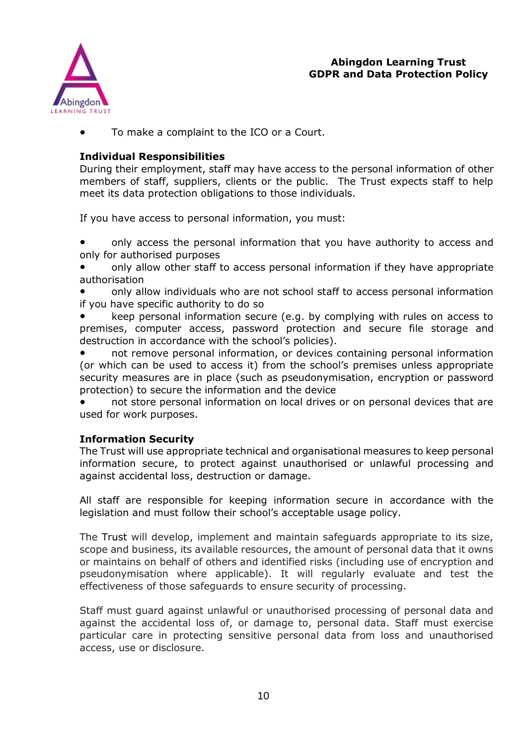

To make a complaint to the ICO or a Court.

### **Individual Responsibilities**

During their employment, staff may have access to the personal information of other members of staff, suppliers, clients or the public. The Trust expects staff to help meet its data protection obligations to those individuals.

If you have access to personal information, you must:

only access the personal information that you have authority to access and only for authorised purposes

- only allow other staff to access personal information if they have appropriate authorisation
- only allow individuals who are not school staff to access personal information if you have specific authority to do so
- keep personal information secure (e.g. by complying with rules on access to premises, computer access, password protection and secure file storage and destruction in accordance with the school's policies).

not remove personal information, or devices containing personal information (or which can be used to access it) from the school's premises unless appropriate security measures are in place (such as pseudonymisation, encryption or password protection) to secure the information and the device

not store personal information on local drives or on personal devices that are used for work purposes.

### **Information Security**

The Trust will use appropriate technical and organisational measures to keep personal information secure, to protect against unauthorised or unlawful processing and against accidental loss, destruction or damage.

All staff are responsible for keeping information secure in accordance with the legislation and must follow their school's acceptable usage policy.

The Trust will develop, implement and maintain safeguards appropriate to its size, scope and business, its available resources, the amount of personal data that it owns or maintains on behalf of others and identified risks (including use of encryption and pseudonymisation where applicable). It will regularly evaluate and test the effectiveness of those safeguards to ensure security of processing.

Staff must guard against unlawful or unauthorised processing of personal data and against the accidental loss of, or damage to, personal data. Staff must exercise particular care in protecting sensitive personal data from loss and unauthorised access, use or disclosure.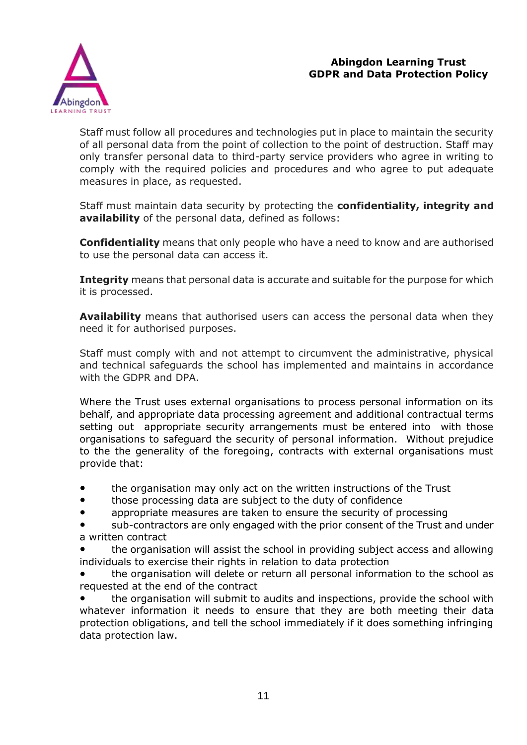

Staff must follow all procedures and technologies put in place to maintain the security of all personal data from the point of collection to the point of destruction. Staff may only transfer personal data to third-party service providers who agree in writing to comply with the required policies and procedures and who agree to put adequate measures in place, as requested.

Staff must maintain data security by protecting the **confidentiality, integrity and availability** of the personal data, defined as follows:

**Confidentiality** means that only people who have a need to know and are authorised to use the personal data can access it.

**Integrity** means that personal data is accurate and suitable for the purpose for which it is processed.

**Availability** means that authorised users can access the personal data when they need it for authorised purposes.

Staff must comply with and not attempt to circumvent the administrative, physical and technical safeguards the school has implemented and maintains in accordance with the GDPR and DPA.

Where the Trust uses external organisations to process personal information on its behalf, and appropriate data processing agreement and additional contractual terms setting out appropriate security arrangements must be entered into with those organisations to safeguard the security of personal information. Without prejudice to the the generality of the foregoing, contracts with external organisations must provide that:

- the organisation may only act on the written instructions of the Trust
- those processing data are subject to the duty of confidence
- appropriate measures are taken to ensure the security of processing

sub-contractors are only engaged with the prior consent of the Trust and under a written contract

the organisation will assist the school in providing subject access and allowing individuals to exercise their rights in relation to data protection

the organisation will delete or return all personal information to the school as requested at the end of the contract

the organisation will submit to audits and inspections, provide the school with whatever information it needs to ensure that they are both meeting their data protection obligations, and tell the school immediately if it does something infringing data protection law.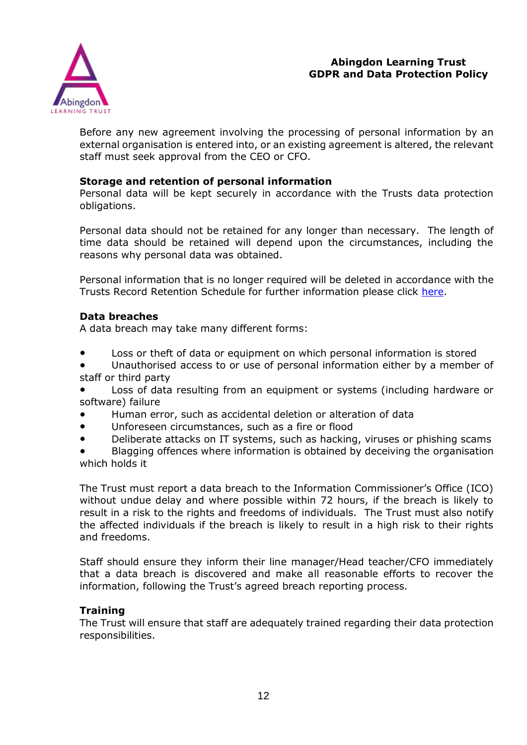

Before any new agreement involving the processing of personal information by an external organisation is entered into, or an existing agreement is altered, the relevant staff must seek approval from the CEO or CFO.

### **Storage and retention of personal information**

Personal data will be kept securely in accordance with the Trusts data protection obligations.

Personal data should not be retained for any longer than necessary. The length of time data should be retained will depend upon the circumstances, including the reasons why personal data was obtained.

Personal information that is no longer required will be deleted in accordance with the Trusts Record Retention Schedule for further information please click [here.](https://app.priviq.com/pn/46d79f44-8971-4b60-b32a-caf5ba63d386)

### **Data breaches**

A data breach may take many different forms:

- Loss or theft of data or equipment on which personal information is stored
- Unauthorised access to or use of personal information either by a member of staff or third party
- Loss of data resulting from an equipment or systems (including hardware or software) failure
- Human error, such as accidental deletion or alteration of data
- Unforeseen circumstances, such as a fire or flood
- Deliberate attacks on IT systems, such as hacking, viruses or phishing scams
- Blagging offences where information is obtained by deceiving the organisation which holds it

The Trust must report a data breach to the Information Commissioner's Office (ICO) without undue delay and where possible within 72 hours, if the breach is likely to result in a risk to the rights and freedoms of individuals. The Trust must also notify the affected individuals if the breach is likely to result in a high risk to their rights and freedoms.

Staff should ensure they inform their line manager/Head teacher/CFO immediately that a data breach is discovered and make all reasonable efforts to recover the information, following the Trust's agreed breach reporting process.

### **Training**

The Trust will ensure that staff are adequately trained regarding their data protection responsibilities.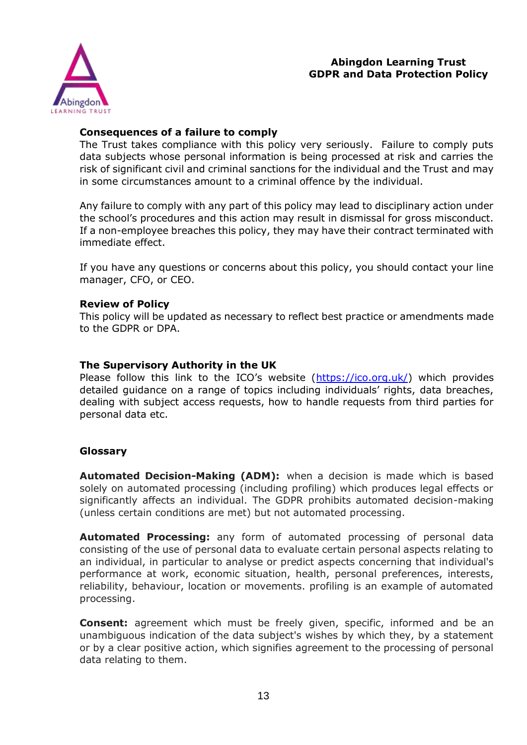

### **Consequences of a failure to comply**

The Trust takes compliance with this policy very seriously. Failure to comply puts data subjects whose personal information is being processed at risk and carries the risk of significant civil and criminal sanctions for the individual and the Trust and may in some circumstances amount to a criminal offence by the individual.

Any failure to comply with any part of this policy may lead to disciplinary action under the school's procedures and this action may result in dismissal for gross misconduct. If a non-employee breaches this policy, they may have their contract terminated with immediate effect.

If you have any questions or concerns about this policy, you should contact your line manager, CFO, or CEO.

### **Review of Policy**

This policy will be updated as necessary to reflect best practice or amendments made to the GDPR or DPA.

### **The Supervisory Authority in the UK**

Please follow this link to the ICO's website ([https://ico.org.uk/\)](https://ico.org.uk/) which provides detailed guidance on a range of topics including individuals' rights, data breaches, dealing with subject access requests, how to handle requests from third parties for personal data etc.

### **Glossary**

**Automated Decision-Making (ADM):** when a decision is made which is based solely on automated processing (including profiling) which produces legal effects or significantly affects an individual. The GDPR prohibits automated decision-making (unless certain conditions are met) but not automated processing.

**Automated Processing:** any form of automated processing of personal data consisting of the use of personal data to evaluate certain personal aspects relating to an individual, in particular to analyse or predict aspects concerning that individual's performance at work, economic situation, health, personal preferences, interests, reliability, behaviour, location or movements. profiling is an example of automated processing.

**Consent:** agreement which must be freely given, specific, informed and be an unambiguous indication of the data subject's wishes by which they, by a statement or by a clear positive action, which signifies agreement to the processing of personal data relating to them.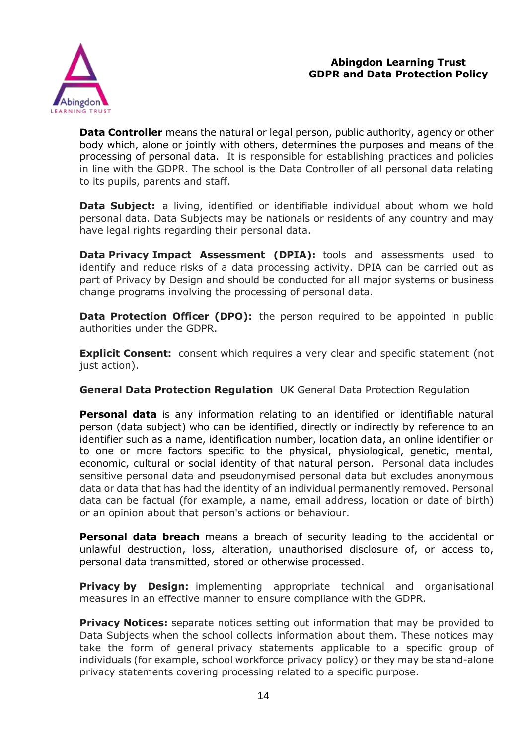

**Data Controller** means the natural or legal person, public authority, agency or other body which, alone or jointly with others, determines the purposes and means of the processing of personal data. It is responsible for establishing practices and policies in line with the GDPR. The school is the Data Controller of all personal data relating to its pupils, parents and staff.

**Data Subject:** a living, identified or identifiable individual about whom we hold personal data. Data Subjects may be nationals or residents of any country and may have legal rights regarding their personal data.

**Data Privacy Impact Assessment (DPIA):** tools and assessments used to identify and reduce risks of a data processing activity. DPIA can be carried out as part of Privacy by Design and should be conducted for all major systems or business change programs involving the processing of personal data.

**Data Protection Officer (DPO):** the person required to be appointed in public authorities under the GDPR.

**Explicit Consent:** consent which requires a very clear and specific statement (not just action).

**General Data Protection Regulation** UK General Data Protection Regulation

**Personal data** is any information relating to an identified or identifiable natural person (data subject) who can be identified, directly or indirectly by reference to an identifier such as a name, identification number, location data, an online identifier or to one or more factors specific to the physical, physiological, genetic, mental, economic, cultural or social identity of that natural person. Personal data includes sensitive personal data and pseudonymised personal data but excludes anonymous data or data that has had the identity of an individual permanently removed. Personal data can be factual (for example, a name, email address, location or date of birth) or an opinion about that person's actions or behaviour.

**Personal data breach** means a breach of security leading to the accidental or unlawful destruction, loss, alteration, unauthorised disclosure of, or access to, personal data transmitted, stored or otherwise processed.

**Privacy by Design:** implementing appropriate technical and organisational measures in an effective manner to ensure compliance with the GDPR.

**Privacy Notices:** separate notices setting out information that may be provided to Data Subjects when the school collects information about them. These notices may take the form of general privacy statements applicable to a specific group of individuals (for example, school workforce privacy policy) or they may be stand-alone privacy statements covering processing related to a specific purpose.